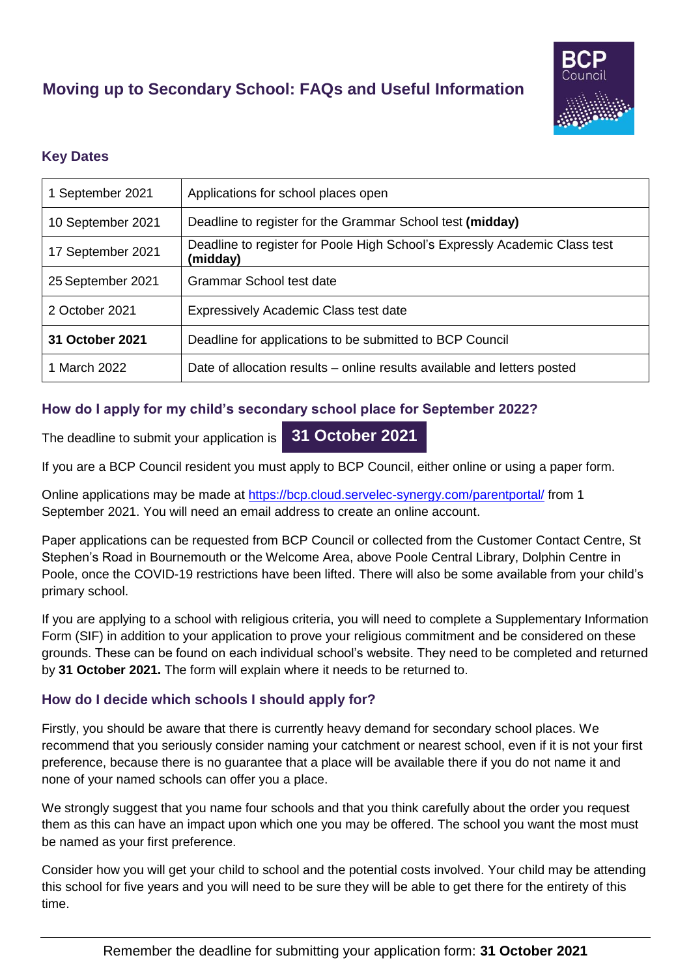# **Moving up to Secondary School: FAQs and Useful Information**



## **Key Dates**

| 1 September 2021  | Applications for school places open                                                    |
|-------------------|----------------------------------------------------------------------------------------|
| 10 September 2021 | Deadline to register for the Grammar School test (midday)                              |
| 17 September 2021 | Deadline to register for Poole High School's Expressly Academic Class test<br>(midday) |
| 25 September 2021 | Grammar School test date                                                               |
| 2 October 2021    | <b>Expressively Academic Class test date</b>                                           |
| 31 October 2021   | Deadline for applications to be submitted to BCP Council                               |
| 1 March 2022      | Date of allocation results – online results available and letters posted               |

## **How do I apply for my child's secondary school place for September 2022?**

The deadline to submit your application is **31 October 2021**

If you are a BCP Council resident you must apply to BCP Council, either online or using a paper form.

Online applications may be made at<https://bcp.cloud.servelec-synergy.com/parentportal/> from 1 September 2021. You will need an email address to create an online account.

Paper applications can be requested from BCP Council or collected from the Customer Contact Centre, St Stephen's Road in Bournemouth or the Welcome Area, above Poole Central Library, Dolphin Centre in Poole, once the COVID-19 restrictions have been lifted. There will also be some available from your child's primary school.

If you are applying to a school with religious criteria, you will need to complete a Supplementary Information Form (SIF) in addition to your application to prove your religious commitment and be considered on these grounds. These can be found on each individual school's website. They need to be completed and returned by **31 October 2021.** The form will explain where it needs to be returned to.

## **How do I decide which schools I should apply for?**

Firstly, you should be aware that there is currently heavy demand for secondary school places. We recommend that you seriously consider naming your catchment or nearest school, even if it is not your first preference, because there is no guarantee that a place will be available there if you do not name it and none of your named schools can offer you a place.

We strongly suggest that you name four schools and that you think carefully about the order you request them as this can have an impact upon which one you may be offered. The school you want the most must be named as your first preference.

Consider how you will get your child to school and the potential costs involved. Your child may be attending this school for five years and you will need to be sure they will be able to get there for the entirety of this time.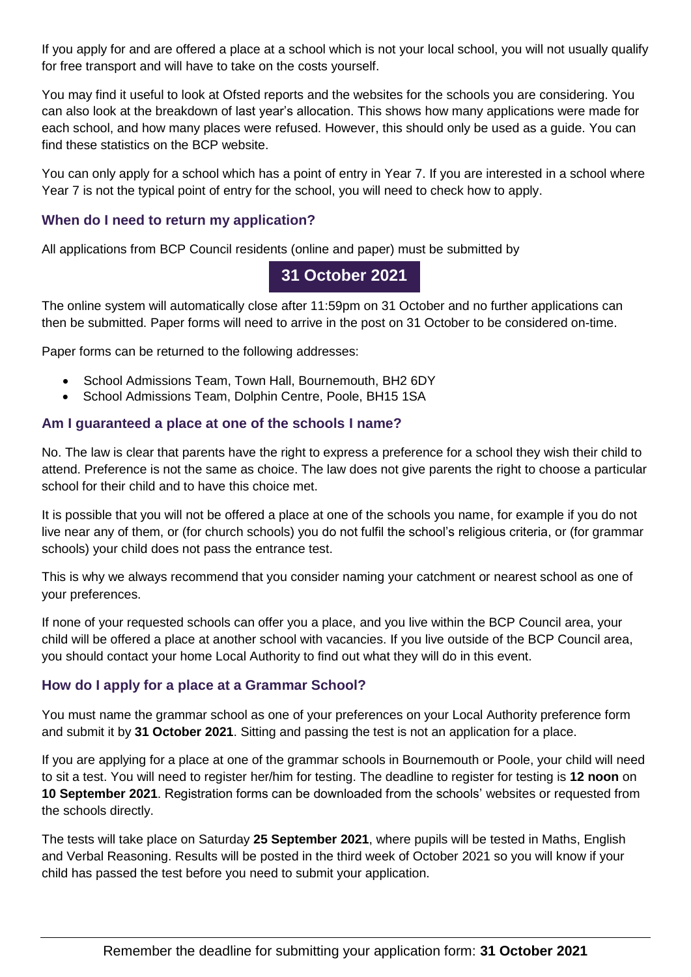If you apply for and are offered a place at a school which is not your local school, you will not usually qualify for free transport and will have to take on the costs yourself.

You may find it useful to look at Ofsted reports and the websites for the schools you are considering. You can also look at the breakdown of last year's allocation. This shows how many applications were made for each school, and how many places were refused. However, this should only be used as a guide. You can find these statistics on the BCP website.

You can only apply for a school which has a point of entry in Year 7. If you are interested in a school where Year 7 is not the typical point of entry for the school, you will need to check how to apply.

## **When do I need to return my application?**

All applications from BCP Council residents (online and paper) must be submitted by

# **31 October 2021**

The online system will automatically close after 11:59pm on 31 October and no further applications can then be submitted. Paper forms will need to arrive in the post on 31 October to be considered on-time.

Paper forms can be returned to the following addresses:

- School Admissions Team, Town Hall, Bournemouth, BH2 6DY
- School Admissions Team, Dolphin Centre, Poole, BH15 1SA

#### **Am I guaranteed a place at one of the schools I name?**

No. The law is clear that parents have the right to express a preference for a school they wish their child to attend. Preference is not the same as choice. The law does not give parents the right to choose a particular school for their child and to have this choice met.

It is possible that you will not be offered a place at one of the schools you name, for example if you do not live near any of them, or (for church schools) you do not fulfil the school's religious criteria, or (for grammar schools) your child does not pass the entrance test.

This is why we always recommend that you consider naming your catchment or nearest school as one of your preferences.

If none of your requested schools can offer you a place, and you live within the BCP Council area, your child will be offered a place at another school with vacancies. If you live outside of the BCP Council area, you should contact your home Local Authority to find out what they will do in this event.

## **How do I apply for a place at a Grammar School?**

You must name the grammar school as one of your preferences on your Local Authority preference form and submit it by **31 October 2021**. Sitting and passing the test is not an application for a place.

If you are applying for a place at one of the grammar schools in Bournemouth or Poole, your child will need to sit a test. You will need to register her/him for testing. The deadline to register for testing is **12 noon** on **10 September 2021**. Registration forms can be downloaded from the schools' websites or requested from the schools directly.

The tests will take place on Saturday **25 September 2021**, where pupils will be tested in Maths, English and Verbal Reasoning. Results will be posted in the third week of October 2021 so you will know if your child has passed the test before you need to submit your application.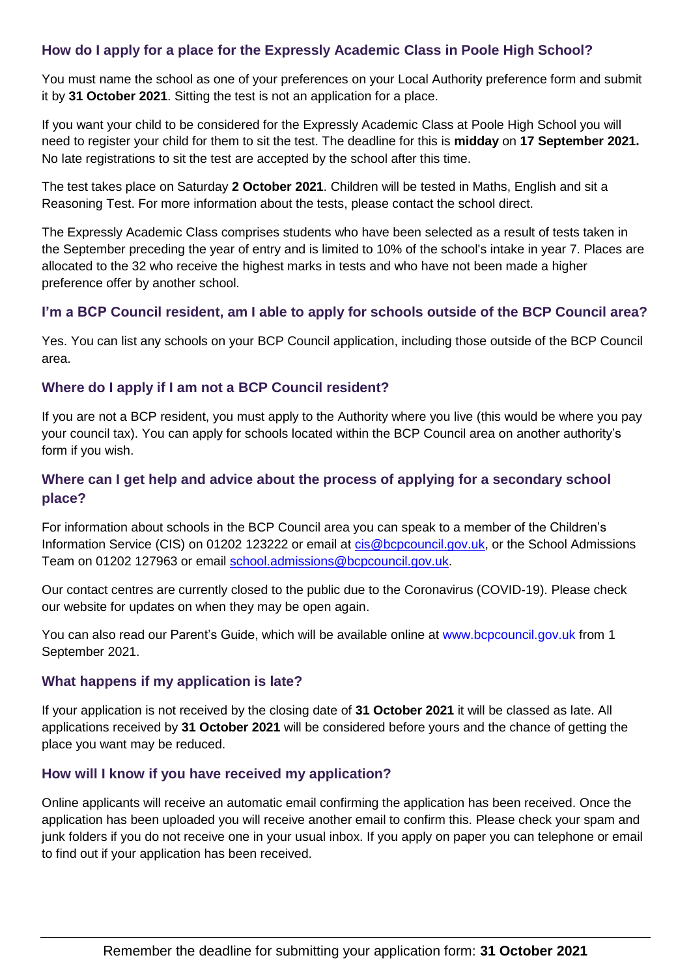## **How do I apply for a place for the Expressly Academic Class in Poole High School?**

You must name the school as one of your preferences on your Local Authority preference form and submit it by **31 October 2021**. Sitting the test is not an application for a place.

If you want your child to be considered for the Expressly Academic Class at Poole High School you will need to register your child for them to sit the test. The deadline for this is **midday** on **17 September 2021.**  No late registrations to sit the test are accepted by the school after this time.

The test takes place on Saturday **2 October 2021**. Children will be tested in Maths, English and sit a Reasoning Test. For more information about the tests, please contact the school direct.

The Expressly Academic Class comprises students who have been selected as a result of tests taken in the September preceding the year of entry and is limited to 10% of the school's intake in year 7. Places are allocated to the 32 who receive the highest marks in tests and who have not been made a higher preference offer by another school.

## **I'm a BCP Council resident, am I able to apply for schools outside of the BCP Council area?**

Yes. You can list any schools on your BCP Council application, including those outside of the BCP Council area.

## **Where do I apply if I am not a BCP Council resident?**

If you are not a BCP resident, you must apply to the Authority where you live (this would be where you pay your council tax). You can apply for schools located within the BCP Council area on another authority's form if you wish.

## **Where can I get help and advice about the process of applying for a secondary school place?**

For information about schools in the BCP Council area you can speak to a member of the Children's Information Service (CIS) on 01202 123222 or email at [cis@bcpcouncil.gov.uk,](mailto:cis@bcpcouncil.gov.uk) or the School Admissions Team on 01202 127963 or email [school.admissions@bcpcouncil.gov.uk.](mailto:school.admissions@bcpcouncil.gov.uk)

Our contact centres are currently closed to the public due to the Coronavirus (COVID-19). Please check our website for updates on when they may be open again.

You can also read our Parent's Guide, which will be available online at www.bcpcouncil.gov.uk from 1 September 2021.

#### **What happens if my application is late?**

If your application is not received by the closing date of **31 October 2021** it will be classed as late. All applications received by **31 October 2021** will be considered before yours and the chance of getting the place you want may be reduced.

#### **How will I know if you have received my application?**

Online applicants will receive an automatic email confirming the application has been received. Once the application has been uploaded you will receive another email to confirm this. Please check your spam and junk folders if you do not receive one in your usual inbox. If you apply on paper you can telephone or email to find out if your application has been received.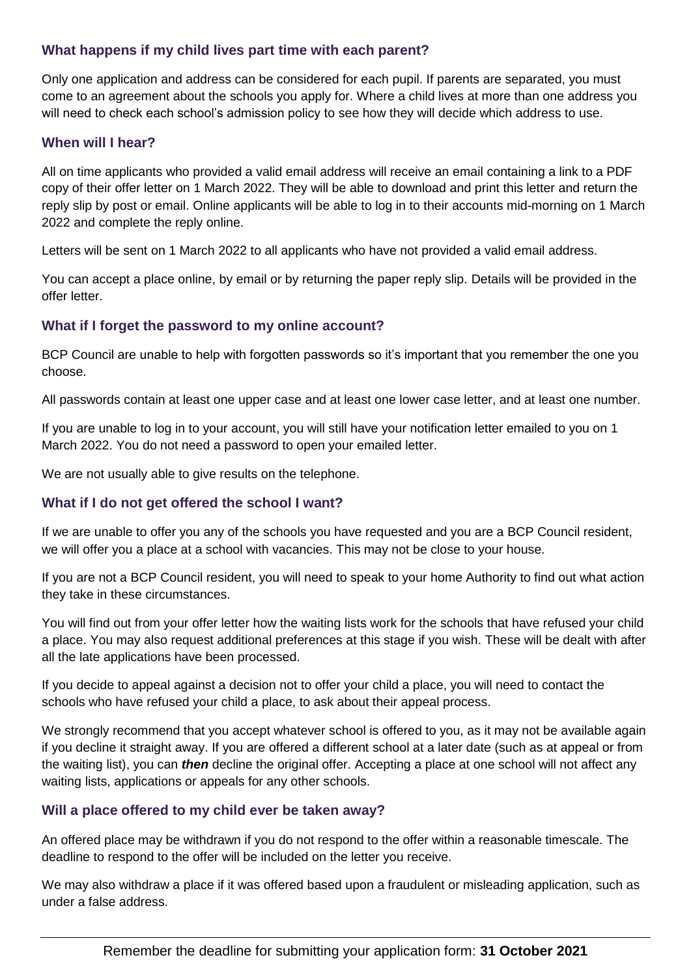#### **What happens if my child lives part time with each parent?**

Only one application and address can be considered for each pupil. If parents are separated, you must come to an agreement about the schools you apply for. Where a child lives at more than one address you will need to check each school's admission policy to see how they will decide which address to use.

#### **When will I hear?**

All on time applicants who provided a valid email address will receive an email containing a link to a PDF copy of their offer letter on 1 March 2022. They will be able to download and print this letter and return the reply slip by post or email. Online applicants will be able to log in to their accounts mid-morning on 1 March 2022 and complete the reply online.

Letters will be sent on 1 March 2022 to all applicants who have not provided a valid email address.

You can accept a place online, by email or by returning the paper reply slip. Details will be provided in the offer letter.

## **What if I forget the password to my online account?**

BCP Council are unable to help with forgotten passwords so it's important that you remember the one you choose.

All passwords contain at least one upper case and at least one lower case letter, and at least one number.

If you are unable to log in to your account, you will still have your notification letter emailed to you on 1 March 2022. You do not need a password to open your emailed letter.

We are not usually able to give results on the telephone.

## **What if I do not get offered the school I want?**

If we are unable to offer you any of the schools you have requested and you are a BCP Council resident, we will offer you a place at a school with vacancies. This may not be close to your house.

If you are not a BCP Council resident, you will need to speak to your home Authority to find out what action they take in these circumstances.

You will find out from your offer letter how the waiting lists work for the schools that have refused your child a place. You may also request additional preferences at this stage if you wish. These will be dealt with after all the late applications have been processed.

If you decide to appeal against a decision not to offer your child a place, you will need to contact the schools who have refused your child a place, to ask about their appeal process.

We strongly recommend that you accept whatever school is offered to you, as it may not be available again if you decline it straight away. If you are offered a different school at a later date (such as at appeal or from the waiting list), you can *then* decline the original offer. Accepting a place at one school will not affect any waiting lists, applications or appeals for any other schools.

#### **Will a place offered to my child ever be taken away?**

An offered place may be withdrawn if you do not respond to the offer within a reasonable timescale. The deadline to respond to the offer will be included on the letter you receive.

We may also withdraw a place if it was offered based upon a fraudulent or misleading application, such as under a false address.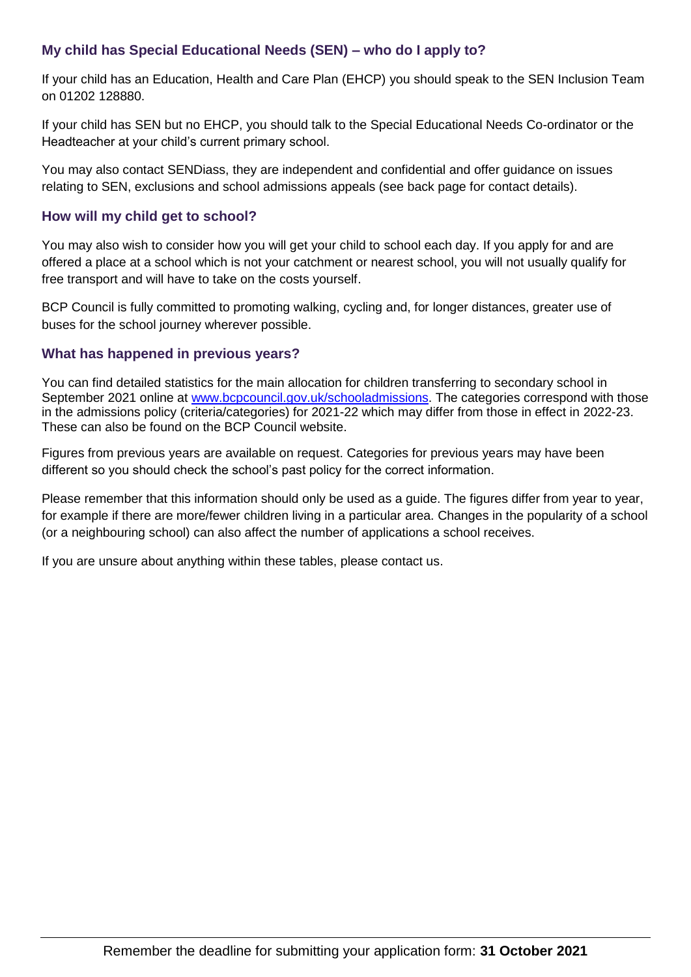## **My child has Special Educational Needs (SEN) – who do I apply to?**

If your child has an Education, Health and Care Plan (EHCP) you should speak to the SEN Inclusion Team on 01202 128880.

If your child has SEN but no EHCP, you should talk to the Special Educational Needs Co-ordinator or the Headteacher at your child's current primary school.

You may also contact SENDiass, they are independent and confidential and offer guidance on issues relating to SEN, exclusions and school admissions appeals (see back page for contact details).

## **How will my child get to school?**

You may also wish to consider how you will get your child to school each day. If you apply for and are offered a place at a school which is not your catchment or nearest school, you will not usually qualify for free transport and will have to take on the costs yourself.

BCP Council is fully committed to promoting walking, cycling and, for longer distances, greater use of buses for the school journey wherever possible.

## **What has happened in previous years?**

You can find detailed statistics for the main allocation for children transferring to secondary school in September 2021 online at [www.bcpcouncil.gov.uk/schooladmissions.](http://www.bcpcouncil.gov.uk/schooladmissions) The categories correspond with those in the admissions policy (criteria/categories) for 2021-22 which may differ from those in effect in 2022-23. These can also be found on the BCP Council website.

Figures from previous years are available on request. Categories for previous years may have been different so you should check the school's past policy for the correct information.

Please remember that this information should only be used as a guide. The figures differ from year to year, for example if there are more/fewer children living in a particular area. Changes in the popularity of a school (or a neighbouring school) can also affect the number of applications a school receives.

If you are unsure about anything within these tables, please contact us.